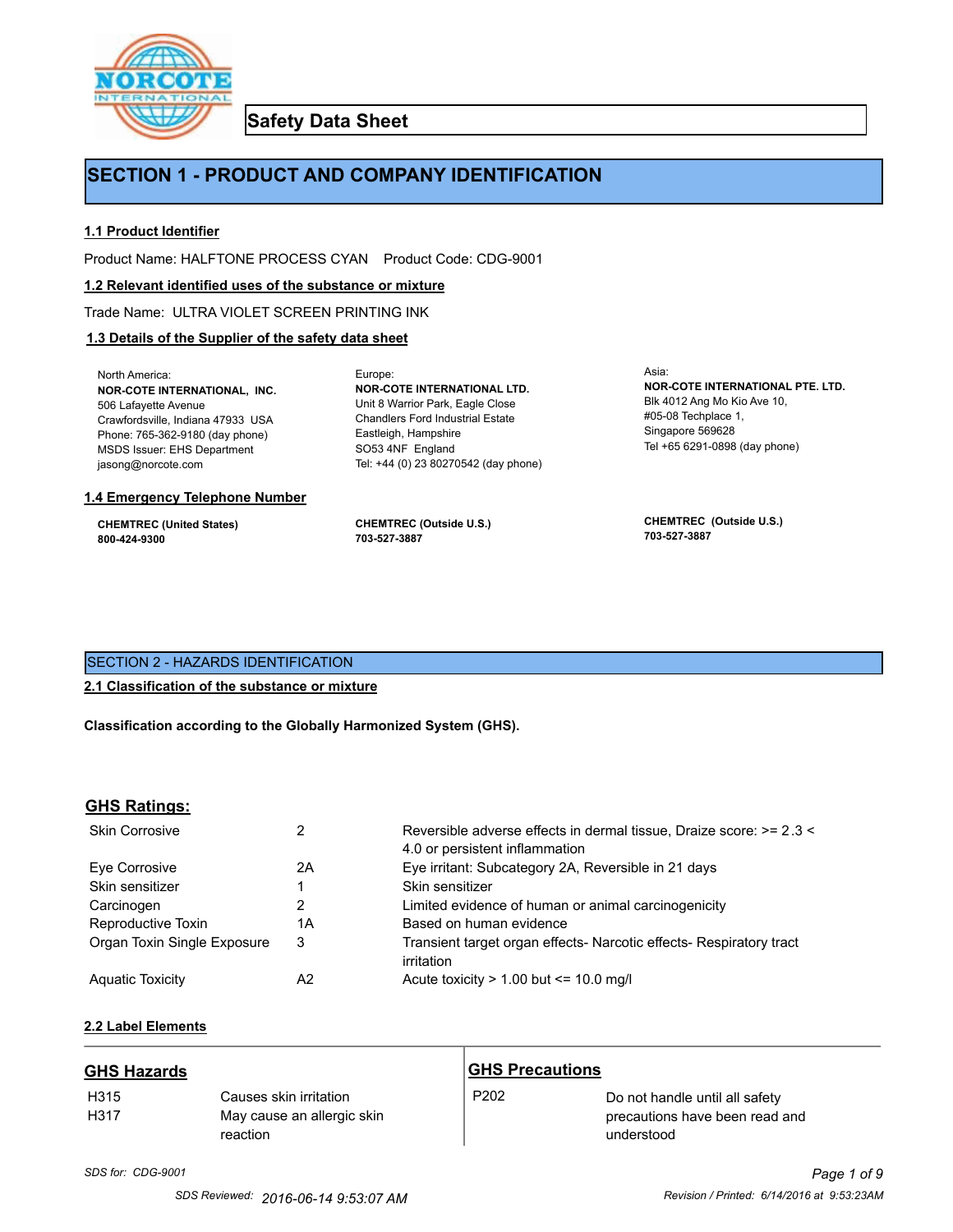

**Safety Data Sheet**

# **SECTION 1 - PRODUCT AND COMPANY IDENTIFICATION**

Europe:

### **1.1 Product Identifier**

Product Name: HALFTONE PROCESS CYAN Product Code: CDG-9001

#### **1.2 Relevant identified uses of the substance or mixture**

Trade Name: ULTRA VIOLET SCREEN PRINTING INK

### **1.3 Details of the Supplier of the safety data sheet**

North America: **NOR-COTE INTERNATIONAL, INC.** 506 Lafayette Avenue Crawfordsville, Indiana 47933 USA Phone: 765-362-9180 (day phone) MSDS Issuer: EHS Department jasong@norcote.com

#### **1.4 Emergency Telephone Number**

**CHEMTREC (United States) 800-424-9300**

**CHEMTREC (Outside U.S.) 703-527-3887**

Eastleigh, Hampshire SO53 4NF England

**NOR-COTE INTERNATIONAL LTD.** Unit 8 Warrior Park, Eagle Close Chandlers Ford Industrial Estate

Tel: +44 (0) 23 80270542 (day phone)

Asia: **NOR-COTE INTERNATIONAL PTE. LTD.** Blk 4012 Ang Mo Kio Ave 10, #05-08 Techplace 1, Singapore 569628 Tel +65 6291-0898 (day phone)

**CHEMTREC (Outside U.S.) 703-527-3887**

### SECTION 2 - HAZARDS IDENTIFICATION

#### **2.1 Classification of the substance or mixture**

**Classification according to the Globally Harmonized System (GHS).**

#### **GHS Ratings:**

| <b>Skin Corrosive</b>       | 2  | Reversible adverse effects in dermal tissue, Draize score: >= 2.3 <<br>4.0 or persistent inflammation |
|-----------------------------|----|-------------------------------------------------------------------------------------------------------|
| Eve Corrosive               | 2A | Eye irritant: Subcategory 2A, Reversible in 21 days                                                   |
| Skin sensitizer             |    | Skin sensitizer                                                                                       |
| Carcinogen                  |    | Limited evidence of human or animal carcinogenicity                                                   |
| Reproductive Toxin          | 1A | Based on human evidence                                                                               |
| Organ Toxin Single Exposure | 3  | Transient target organ effects- Narcotic effects- Respiratory tract<br>irritation                     |
| <b>Aguatic Toxicity</b>     | A2 | Acute toxicity $> 1.00$ but $\leq 10.0$ mg/l                                                          |

# **2.2 Label Elements**

| <b>GHS Hazards</b>       |                                                                  | <b>GHS Precautions</b> |                                                                                |
|--------------------------|------------------------------------------------------------------|------------------------|--------------------------------------------------------------------------------|
| H <sub>315</sub><br>H317 | Causes skin irritation<br>May cause an allergic skin<br>reaction | P <sub>202</sub>       | Do not handle until all safety<br>precautions have been read and<br>understood |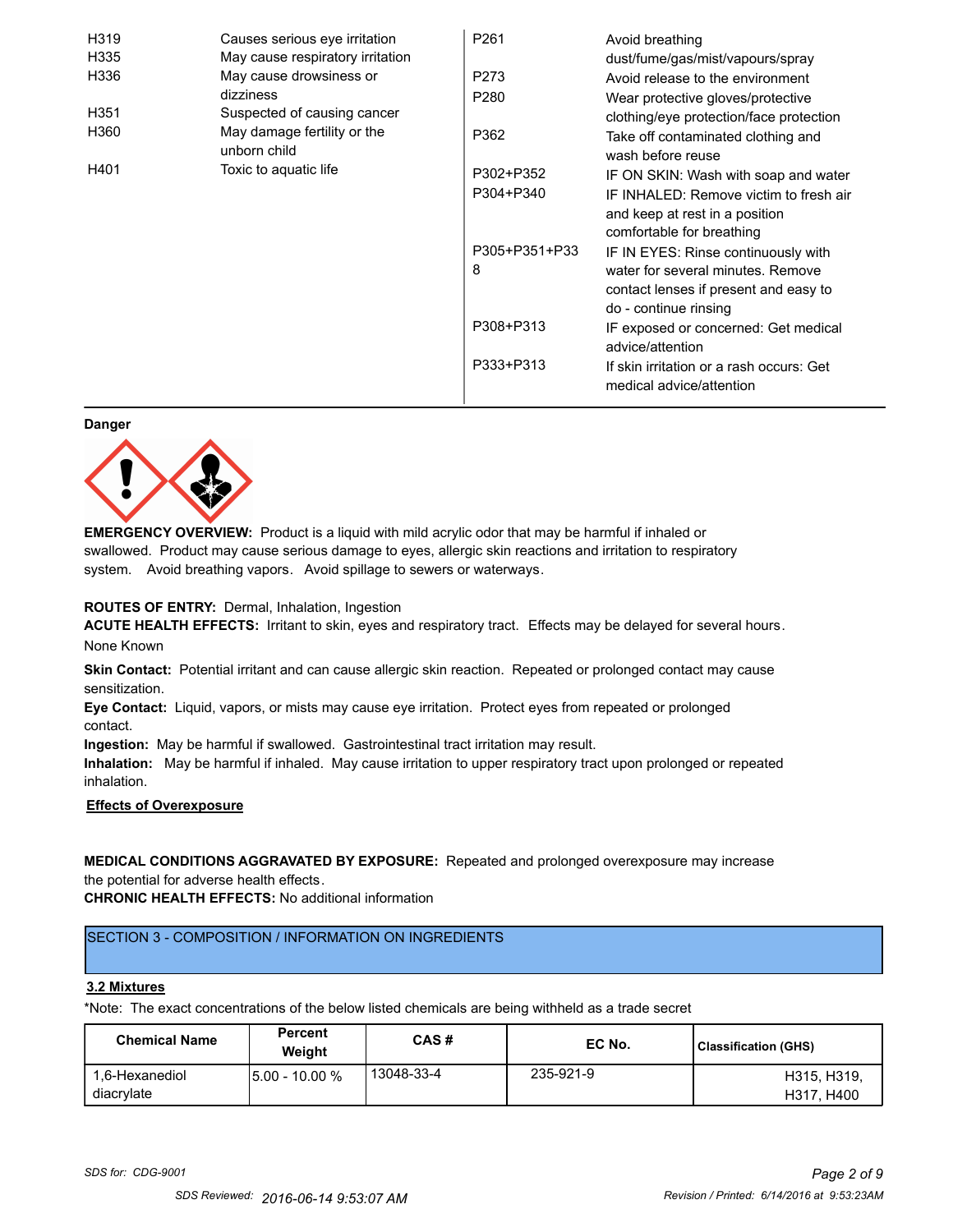| H319             | Causes serious eye irritation               | P <sub>261</sub> | Avoid breathing                                                            |
|------------------|---------------------------------------------|------------------|----------------------------------------------------------------------------|
| H335             | May cause respiratory irritation            |                  | dust/fume/gas/mist/vapours/spray                                           |
| H336             | May cause drowsiness or                     | P273             | Avoid release to the environment                                           |
|                  | dizziness                                   | P <sub>280</sub> | Wear protective gloves/protective                                          |
| H <sub>351</sub> | Suspected of causing cancer                 |                  | clothing/eye protection/face protection                                    |
| H360             | May damage fertility or the<br>unborn child | P362             | Take off contaminated clothing and<br>wash before reuse                    |
| H401             | Toxic to aquatic life                       | P302+P352        | IF ON SKIN: Wash with soap and water                                       |
|                  |                                             | P304+P340        | IF INHALED: Remove victim to fresh air<br>and keep at rest in a position   |
|                  |                                             | P305+P351+P33    | comfortable for breathing                                                  |
|                  |                                             | 8                | IF IN EYES: Rinse continuously with                                        |
|                  |                                             |                  | water for several minutes. Remove<br>contact lenses if present and easy to |
|                  |                                             |                  | do - continue rinsing                                                      |
|                  |                                             | P308+P313        | IF exposed or concerned: Get medical<br>advice/attention                   |
|                  |                                             | P333+P313        | If skin irritation or a rash occurs: Get<br>medical advice/attention       |

#### **Danger**



**EMERGENCY OVERVIEW:** Product is a liquid with mild acrylic odor that may be harmful if inhaled or swallowed. Product may cause serious damage to eyes, allergic skin reactions and irritation to respiratory system. Avoid breathing vapors. Avoid spillage to sewers or waterways.

#### **ROUTES OF ENTRY:** Dermal, Inhalation, Ingestion

**ACUTE HEALTH EFFECTS:** Irritant to skin, eyes and respiratory tract. Effects may be delayed for several hours. None Known

**Skin Contact:** Potential irritant and can cause allergic skin reaction. Repeated or prolonged contact may cause sensitization.

**Eye Contact:** Liquid, vapors, or mists may cause eye irritation. Protect eyes from repeated or prolonged contact.

**Ingestion:** May be harmful if swallowed. Gastrointestinal tract irritation may result.

**Inhalation:** May be harmful if inhaled. May cause irritation to upper respiratory tract upon prolonged or repeated inhalation.

### **Effects of Overexposure**

### **MEDICAL CONDITIONS AGGRAVATED BY EXPOSURE:** Repeated and prolonged overexposure may increase the potential for adverse health effects.

**CHRONIC HEALTH EFFECTS:** No additional information

### SECTION 3 - COMPOSITION / INFORMATION ON INGREDIENTS

#### **3.2 Mixtures**

\*Note: The exact concentrations of the below listed chemicals are being withheld as a trade secret

| <b>Chemical Name</b>         | <b>Percent</b><br>Weiaht | CAS#       | EC No.    | Classification (GHS)      |
|------------------------------|--------------------------|------------|-----------|---------------------------|
| 1.6-Hexanediol<br>diacrylate | 15.00 - 10.00 %          | 13048-33-4 | 235-921-9 | H315, H319.<br>H317, H400 |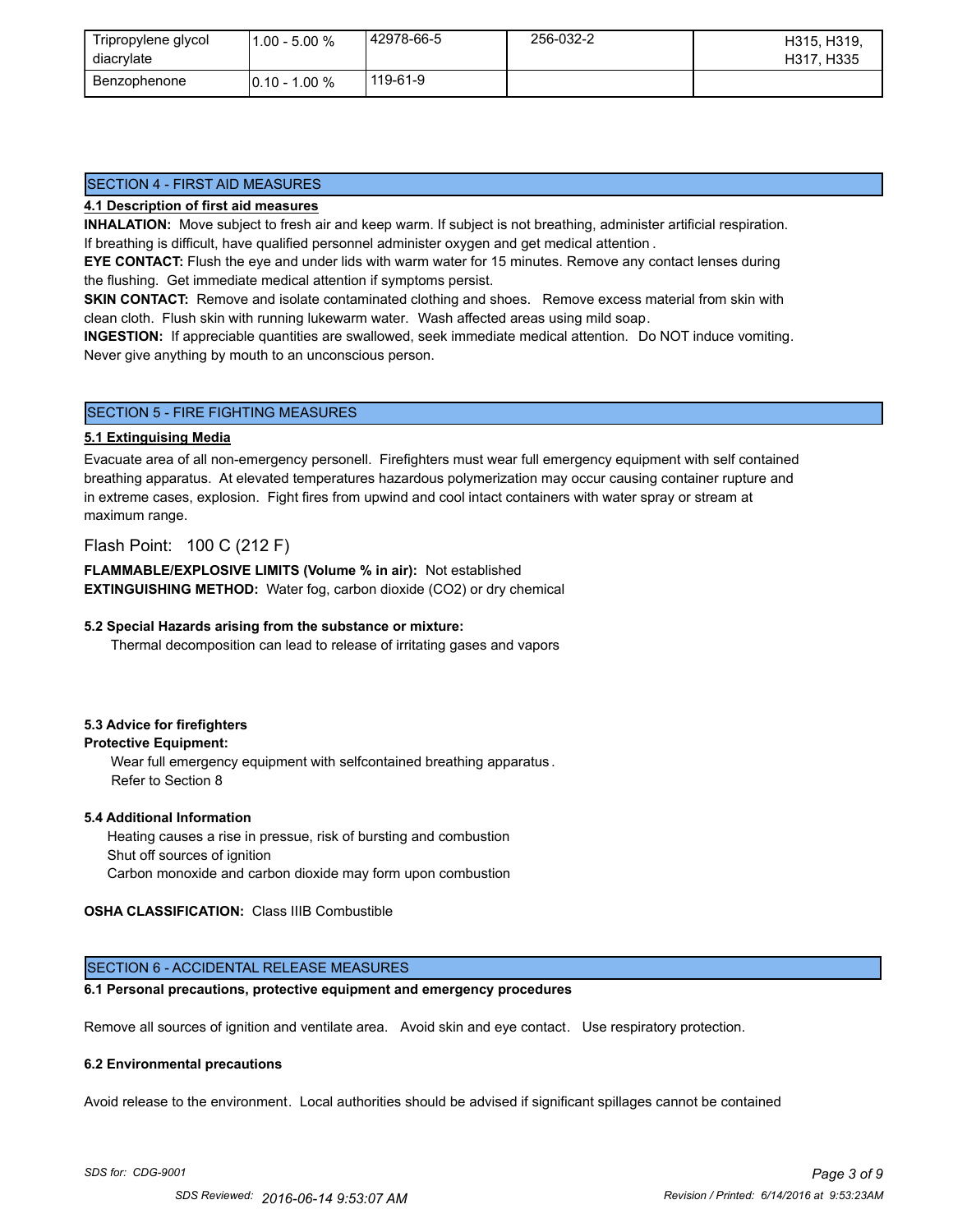| Tripropylene glycol<br>diacrylate | $.00 - 5.00 %$    | 42978-66-5 | 256-032-2 | H315, H319,<br>H317, H335 |
|-----------------------------------|-------------------|------------|-----------|---------------------------|
| Benzophenone                      | $10.10 - 1.00 \%$ | 119-61-9   |           |                           |

### SECTION 4 - FIRST AID MEASURES

#### **4.1 Description of first aid measures**

**INHALATION:** Move subject to fresh air and keep warm. If subject is not breathing, administer artificial respiration. If breathing is difficult, have qualified personnel administer oxygen and get medical attention .

**EYE CONTACT:** Flush the eye and under lids with warm water for 15 minutes. Remove any contact lenses during the flushing. Get immediate medical attention if symptoms persist.

**SKIN CONTACT:** Remove and isolate contaminated clothing and shoes. Remove excess material from skin with clean cloth. Flush skin with running lukewarm water. Wash affected areas using mild soap.

**INGESTION:** If appreciable quantities are swallowed, seek immediate medical attention. Do NOT induce vomiting. Never give anything by mouth to an unconscious person.

### SECTION 5 - FIRE FIGHTING MEASURES

#### **5.1 Extinguising Media**

Evacuate area of all non-emergency personell. Firefighters must wear full emergency equipment with self contained breathing apparatus. At elevated temperatures hazardous polymerization may occur causing container rupture and in extreme cases, explosion. Fight fires from upwind and cool intact containers with water spray or stream at maximum range.

### Flash Point: 100 C (212 F)

**FLAMMABLE/EXPLOSIVE LIMITS (Volume % in air):** Not established **EXTINGUISHING METHOD:** Water fog, carbon dioxide (CO2) or dry chemical

#### **5.2 Special Hazards arising from the substance or mixture:**

Thermal decomposition can lead to release of irritating gases and vapors

#### **5.3 Advice for firefighters**

### **Protective Equipment:**

Wear full emergency equipment with selfcontained breathing apparatus . Refer to Section 8

#### **5.4 Additional Information**

 Heating causes a rise in pressue, risk of bursting and combustion Shut off sources of ignition Carbon monoxide and carbon dioxide may form upon combustion

#### **OSHA CLASSIFICATION:** Class IIIB Combustible

### SECTION 6 - ACCIDENTAL RELEASE MEASURES

### **6.1 Personal precautions, protective equipment and emergency procedures**

Remove all sources of ignition and ventilate area. Avoid skin and eye contact. Use respiratory protection.

#### **6.2 Environmental precautions**

Avoid release to the environment. Local authorities should be advised if significant spillages cannot be contained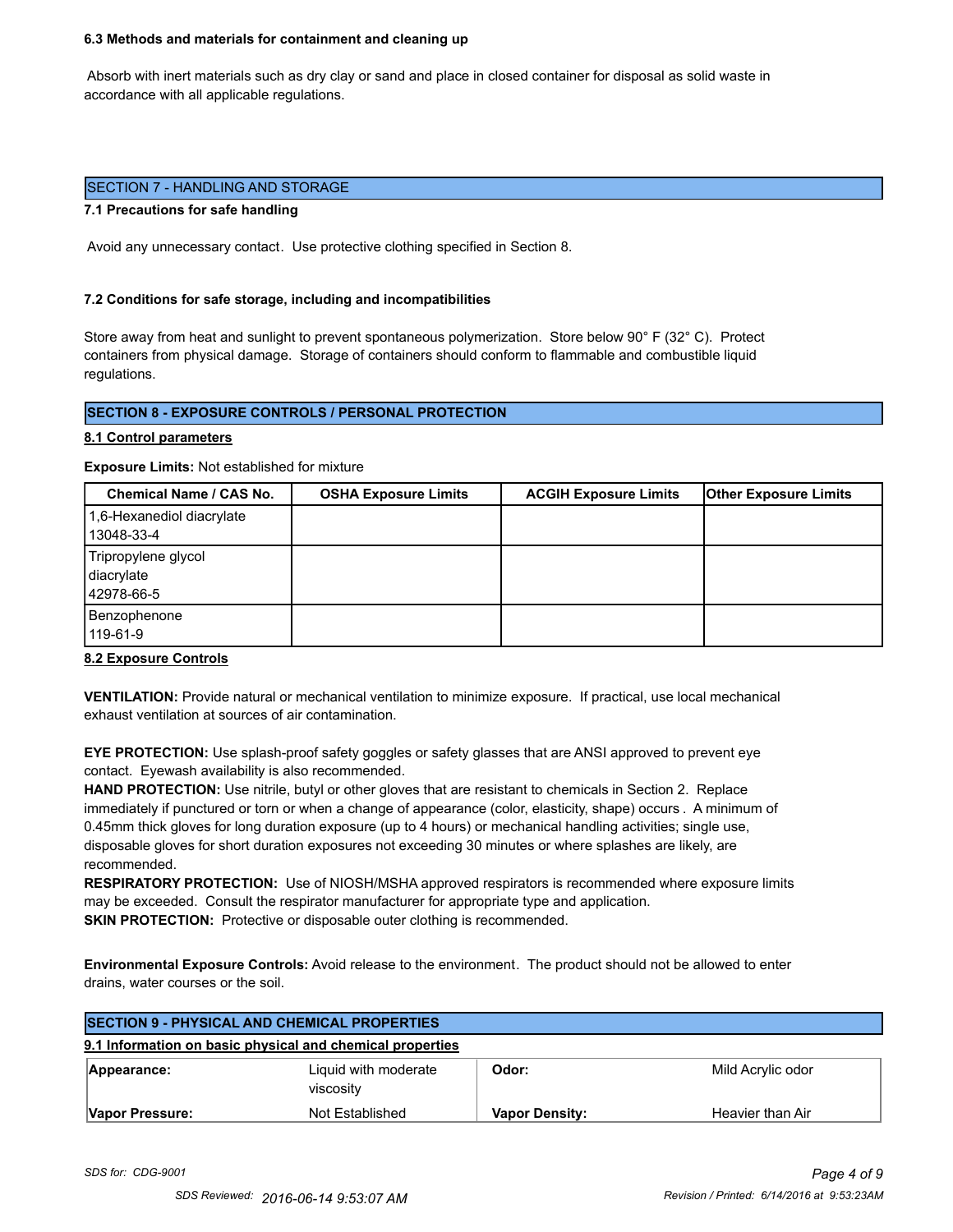#### **6.3 Methods and materials for containment and cleaning up**

 Absorb with inert materials such as dry clay or sand and place in closed container for disposal as solid waste in accordance with all applicable regulations.

#### SECTION 7 - HANDLING AND STORAGE

#### **7.1 Precautions for safe handling**

Avoid any unnecessary contact. Use protective clothing specified in Section 8.

#### **7.2 Conditions for safe storage, including and incompatibilities**

Store away from heat and sunlight to prevent spontaneous polymerization. Store below 90° F (32° C). Protect containers from physical damage. Storage of containers should conform to flammable and combustible liquid regulations.

### **SECTION 8 - EXPOSURE CONTROLS / PERSONAL PROTECTION**

#### **8.1 Control parameters**

**Exposure Limits:** Not established for mixture

| Chemical Name / CAS No.                         | <b>OSHA Exposure Limits</b> | <b>ACGIH Exposure Limits</b> | <b>Other Exposure Limits</b> |
|-------------------------------------------------|-----------------------------|------------------------------|------------------------------|
| 1,6-Hexanediol diacrylate<br>13048-33-4         |                             |                              |                              |
| Tripropylene glycol<br>diacrylate<br>42978-66-5 |                             |                              |                              |
| Benzophenone<br>119-61-9                        |                             |                              |                              |

#### **8.2 Exposure Controls**

**VENTILATION:** Provide natural or mechanical ventilation to minimize exposure. If practical, use local mechanical exhaust ventilation at sources of air contamination.

**EYE PROTECTION:** Use splash-proof safety goggles or safety glasses that are ANSI approved to prevent eye contact. Eyewash availability is also recommended.

**HAND PROTECTION:** Use nitrile, butyl or other gloves that are resistant to chemicals in Section 2. Replace immediately if punctured or torn or when a change of appearance (color, elasticity, shape) occurs . A minimum of 0.45mm thick gloves for long duration exposure (up to 4 hours) or mechanical handling activities; single use, disposable gloves for short duration exposures not exceeding 30 minutes or where splashes are likely, are recommended.

**RESPIRATORY PROTECTION:** Use of NIOSH/MSHA approved respirators is recommended where exposure limits may be exceeded. Consult the respirator manufacturer for appropriate type and application. **SKIN PROTECTION:** Protective or disposable outer clothing is recommended.

**Environmental Exposure Controls:** Avoid release to the environment. The product should not be allowed to enter drains, water courses or the soil.

| <b>SECTION 9 - PHYSICAL AND CHEMICAL PROPERTIES</b> |                                                           |                       |                   |
|-----------------------------------------------------|-----------------------------------------------------------|-----------------------|-------------------|
|                                                     | 9.1 Information on basic physical and chemical properties |                       |                   |
| Appearance:                                         | Liquid with moderate<br>viscosity                         | Odor:                 | Mild Acrylic odor |
| Vapor Pressure:                                     | Not Established                                           | <b>Vapor Density:</b> | Heavier than Air  |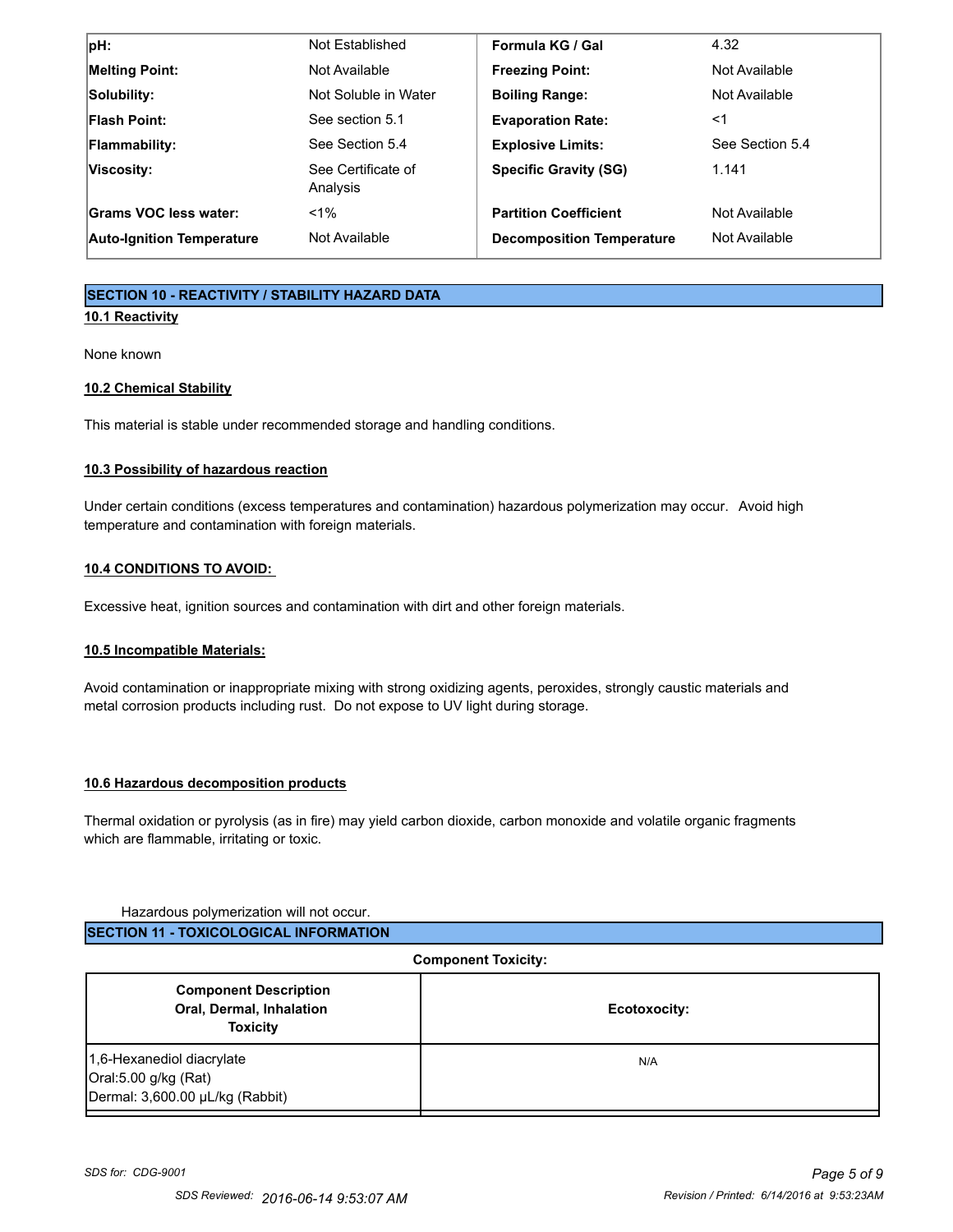| $ pH$ :                          | Not Established                | Formula KG / Gal                 | 4.32            |
|----------------------------------|--------------------------------|----------------------------------|-----------------|
| <b>Melting Point:</b>            | Not Available                  | <b>Freezing Point:</b>           | Not Available   |
| Solubility:                      | Not Soluble in Water           | <b>Boiling Range:</b>            | Not Available   |
| <b>Flash Point:</b>              | See section 5.1                | <b>Evaporation Rate:</b>         | ≺1              |
| <b>Flammability:</b>             | See Section 5.4                | <b>Explosive Limits:</b>         | See Section 5.4 |
| Viscosity:                       | See Certificate of<br>Analysis | <b>Specific Gravity (SG)</b>     | 1.141           |
| Grams VOC less water:            | $< 1\%$                        | <b>Partition Coefficient</b>     | Not Available   |
| <b>Auto-Ignition Temperature</b> | Not Available                  | <b>Decomposition Temperature</b> | Not Available   |

# **SECTION 10 - REACTIVITY / STABILITY HAZARD DATA**

# **10.1 Reactivity**

None known

### **10.2 Chemical Stability**

This material is stable under recommended storage and handling conditions.

### **10.3 Possibility of hazardous reaction**

Under certain conditions (excess temperatures and contamination) hazardous polymerization may occur. Avoid high temperature and contamination with foreign materials.

### **10.4 CONDITIONS TO AVOID:**

Excessive heat, ignition sources and contamination with dirt and other foreign materials.

### **10.5 Incompatible Materials:**

Avoid contamination or inappropriate mixing with strong oxidizing agents, peroxides, strongly caustic materials and metal corrosion products including rust. Do not expose to UV light during storage.

#### **10.6 Hazardous decomposition products**

Thermal oxidation or pyrolysis (as in fire) may yield carbon dioxide, carbon monoxide and volatile organic fragments which are flammable, irritating or toxic.

#### Hazardous polymerization will not occur.

| <b>ISECTION 11 - TOXICOLOGICAL INFORMATION</b> |
|------------------------------------------------|
|------------------------------------------------|

| <b>Component Toxicity:</b>                                                           |              |
|--------------------------------------------------------------------------------------|--------------|
| <b>Component Description</b><br>Oral, Dermal, Inhalation<br><b>Toxicity</b>          | Ecotoxocity: |
| 1,6-Hexanediol diacrylate<br>Oral:5.00 g/kg (Rat)<br>Dermal: 3,600.00 µL/kg (Rabbit) | N/A          |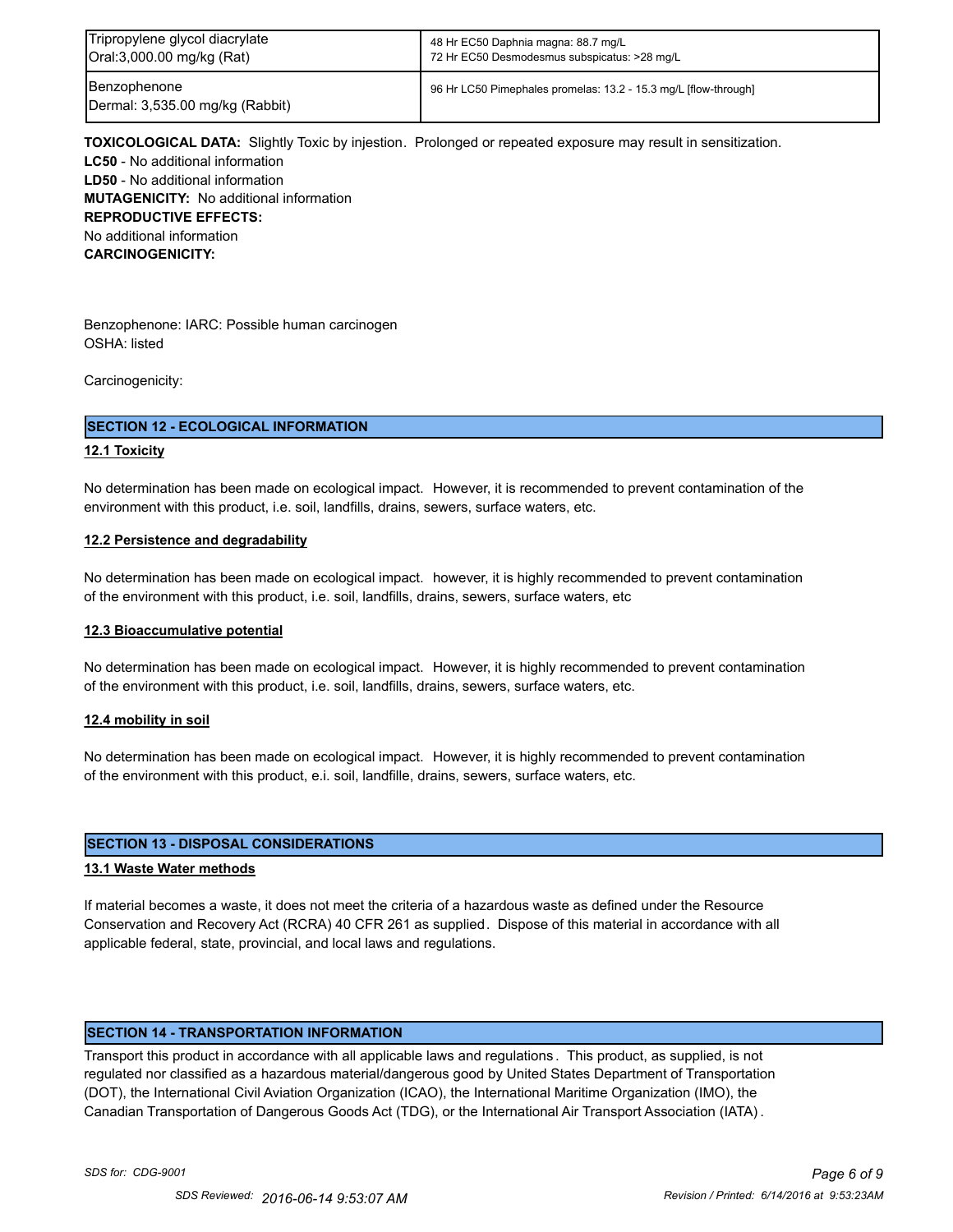| Tripropylene glycol diacrylate                  | 48 Hr EC50 Daphnia magna: 88.7 mg/L                             |
|-------------------------------------------------|-----------------------------------------------------------------|
| Oral:3,000.00 mg/kg (Rat)                       | 72 Hr EC50 Desmodesmus subspicatus: >28 mg/L                    |
| Benzophenone<br>Dermal: 3,535.00 mg/kg (Rabbit) | 96 Hr LC50 Pimephales promelas: 13.2 - 15.3 mg/L [flow-through] |

**TOXICOLOGICAL DATA:** Slightly Toxic by injestion. Prolonged or repeated exposure may result in sensitization. **LC50** - No additional information **LD50** - No additional information **MUTAGENICITY:** No additional information **REPRODUCTIVE EFFECTS:** No additional information **CARCINOGENICITY:**

Benzophenone: IARC: Possible human carcinogen OSHA: listed

Carcinogenicity:

#### **SECTION 12 - ECOLOGICAL INFORMATION**

#### **12.1 Toxicity**

No determination has been made on ecological impact. However, it is recommended to prevent contamination of the environment with this product, i.e. soil, landfills, drains, sewers, surface waters, etc.

#### **12.2 Persistence and degradability**

No determination has been made on ecological impact. however, it is highly recommended to prevent contamination of the environment with this product, i.e. soil, landfills, drains, sewers, surface waters, etc

#### **12.3 Bioaccumulative potential**

No determination has been made on ecological impact. However, it is highly recommended to prevent contamination of the environment with this product, i.e. soil, landfills, drains, sewers, surface waters, etc.

#### **12.4 mobility in soil**

No determination has been made on ecological impact. However, it is highly recommended to prevent contamination of the environment with this product, e.i. soil, landfille, drains, sewers, surface waters, etc.

#### **SECTION 13 - DISPOSAL CONSIDERATIONS**

#### **13.1 Waste Water methods**

If material becomes a waste, it does not meet the criteria of a hazardous waste as defined under the Resource Conservation and Recovery Act (RCRA) 40 CFR 261 as supplied. Dispose of this material in accordance with all applicable federal, state, provincial, and local laws and regulations.

#### **SECTION 14 - TRANSPORTATION INFORMATION**

Transport this product in accordance with all applicable laws and regulations . This product, as supplied, is not regulated nor classified as a hazardous material/dangerous good by United States Department of Transportation (DOT), the International Civil Aviation Organization (ICAO), the International Maritime Organization (IMO), the Canadian Transportation of Dangerous Goods Act (TDG), or the International Air Transport Association (IATA) .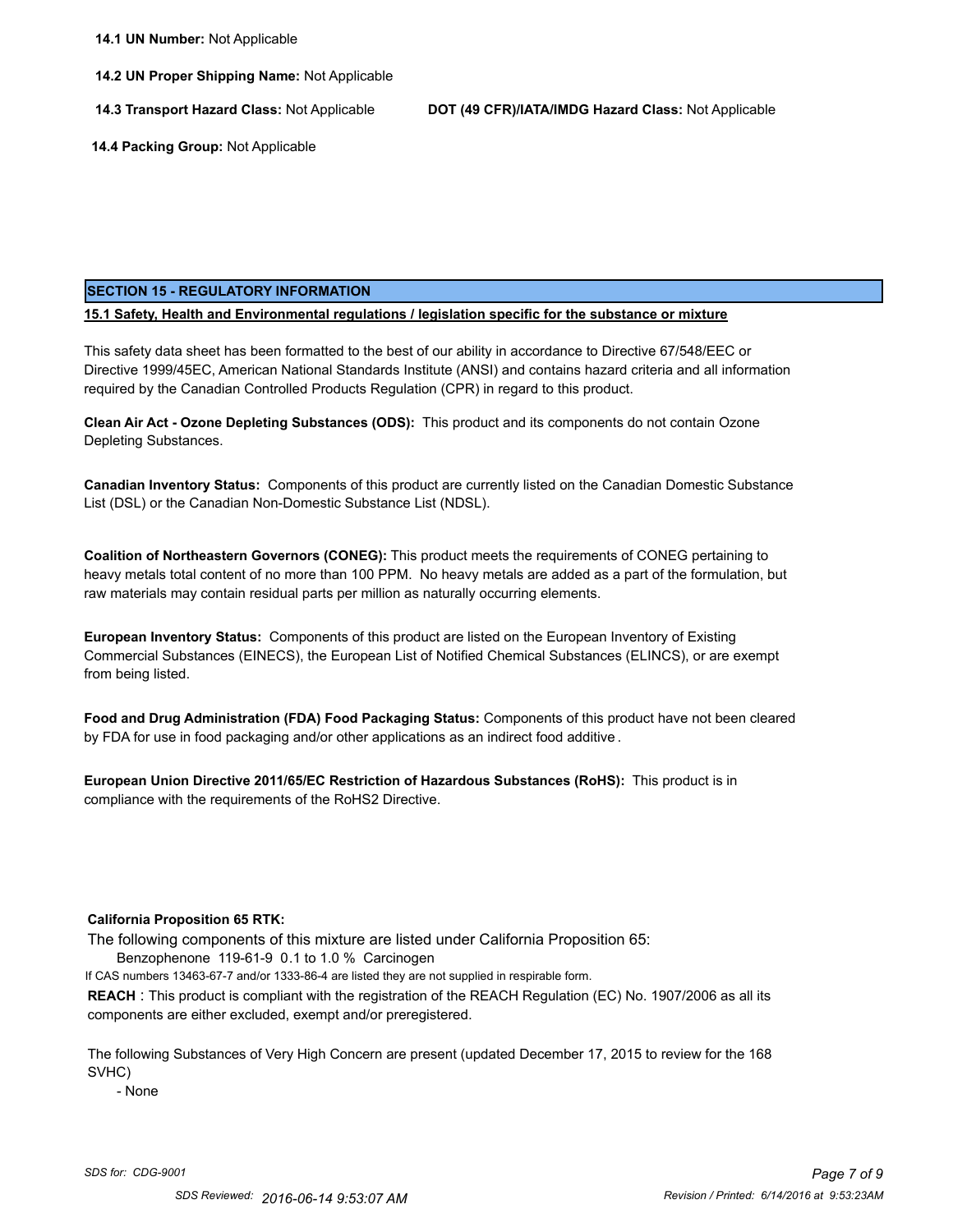**14.2 UN Proper Shipping Name:** Not Applicable

**14.3 Transport Hazard Class:** Not Applicable **DOT (49 CFR)/IATA/IMDG Hazard Class:** Not Applicable

 **14.4 Packing Group:** Not Applicable

#### **SECTION 15 - REGULATORY INFORMATION**

**15.1 Safety, Health and Environmental regulations / legislation specific for the substance or mixture**

This safety data sheet has been formatted to the best of our ability in accordance to Directive 67/548/EEC or Directive 1999/45EC, American National Standards Institute (ANSI) and contains hazard criteria and all information required by the Canadian Controlled Products Regulation (CPR) in regard to this product.

**Clean Air Act - Ozone Depleting Substances (ODS):** This product and its components do not contain Ozone Depleting Substances.

**Canadian Inventory Status:** Components of this product are currently listed on the Canadian Domestic Substance List (DSL) or the Canadian Non-Domestic Substance List (NDSL).

**Coalition of Northeastern Governors (CONEG):** This product meets the requirements of CONEG pertaining to heavy metals total content of no more than 100 PPM. No heavy metals are added as a part of the formulation, but raw materials may contain residual parts per million as naturally occurring elements.

**European Inventory Status:** Components of this product are listed on the European Inventory of Existing Commercial Substances (EINECS), the European List of Notified Chemical Substances (ELINCS), or are exempt from being listed.

**Food and Drug Administration (FDA) Food Packaging Status:** Components of this product have not been cleared by FDA for use in food packaging and/or other applications as an indirect food additive .

**European Union Directive 2011/65/EC Restriction of Hazardous Substances (RoHS):** This product is in compliance with the requirements of the RoHS2 Directive.

#### **California Proposition 65 RTK:**

The following components of this mixture are listed under California Proposition 65:

Benzophenone 119-61-9 0.1 to 1.0 % Carcinogen

If CAS numbers 13463-67-7 and/or 1333-86-4 are listed they are not supplied in respirable form.

**REACH** : This product is compliant with the registration of the REACH Regulation (EC) No. 1907/2006 as all its components are either excluded, exempt and/or preregistered.

The following Substances of Very High Concern are present (updated December 17, 2015 to review for the 168 SVHC)

- None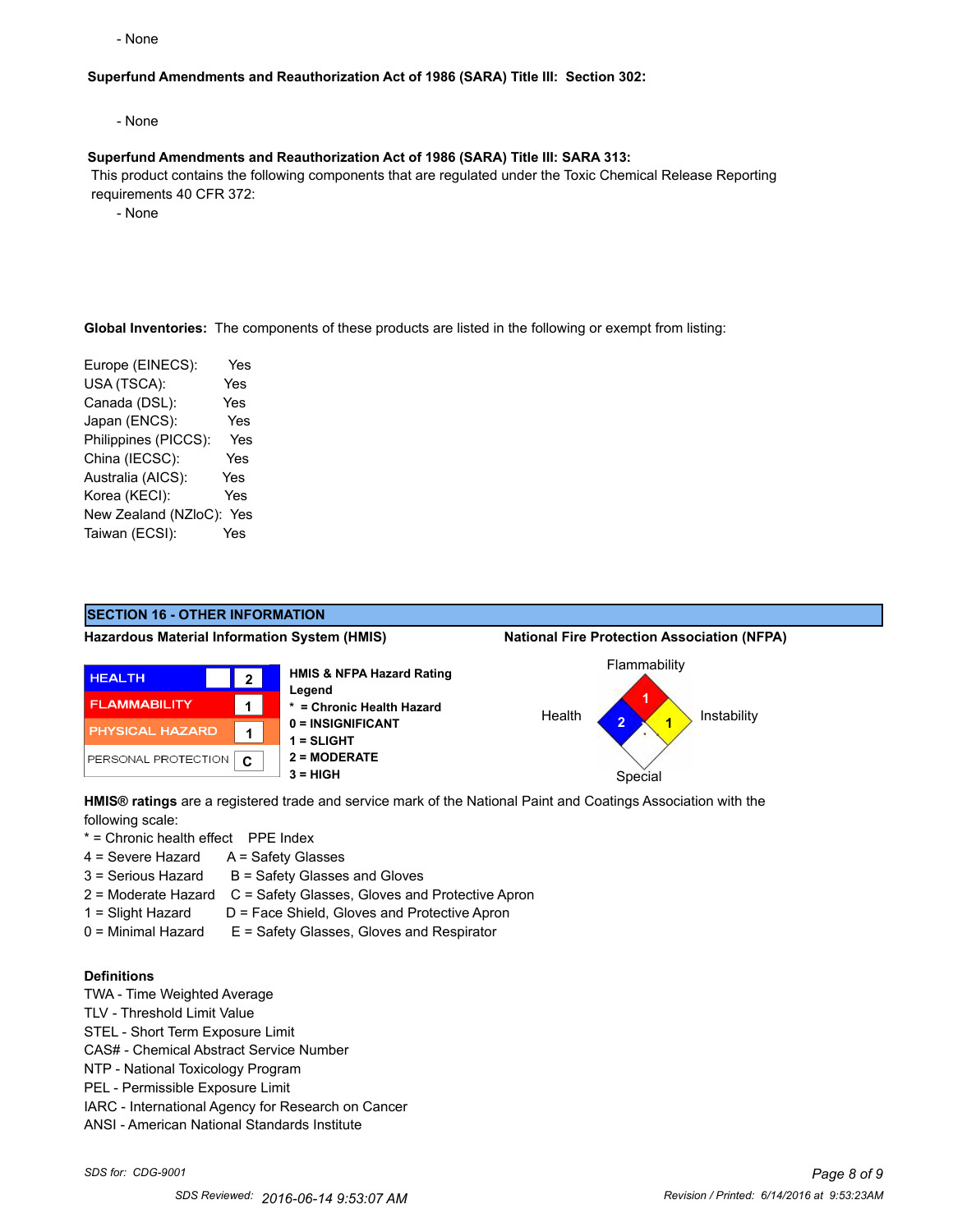- None

#### **Superfund Amendments and Reauthorization Act of 1986 (SARA) Title III: Section 302:**

- None

#### **Superfund Amendments and Reauthorization Act of 1986 (SARA) Title III: SARA 313:**

 This product contains the following components that are regulated under the Toxic Chemical Release Reporting requirements 40 CFR 372:

- None

**Global Inventories:** The components of these products are listed in the following or exempt from listing:

Europe (EINECS): Yes USA (TSCA): Yes Canada (DSL): Yes Japan (ENCS): Yes Philippines (PICCS): Yes China (IECSC): Yes Australia (AICS): Yes Korea (KECI): Yes New Zealand (NZloC): Yes Taiwan (ECSI): Yes



**HMIS® ratings** are a registered trade and service mark of the National Paint and Coatings Association with the following scale:

\* = Chronic health effect PPE Index

- 4 = Severe Hazard A = Safety Glasses
- $3 =$  Serious Hazard  $B =$  Safety Glasses and Gloves
- 2 = Moderate Hazard C = Safety Glasses, Gloves and Protective Apron
- 1 = Slight Hazard D = Face Shield, Gloves and Protective Apron
- 0 = Minimal Hazard E = Safety Glasses, Gloves and Respirator

## **Definitions**

- TWA Time Weighted Average
- TLV Threshold Limit Value
- STEL Short Term Exposure Limit
- CAS# Chemical Abstract Service Number
- NTP National Toxicology Program
- PEL Permissible Exposure Limit
- IARC International Agency for Research on Cancer
- ANSI American National Standards Institute